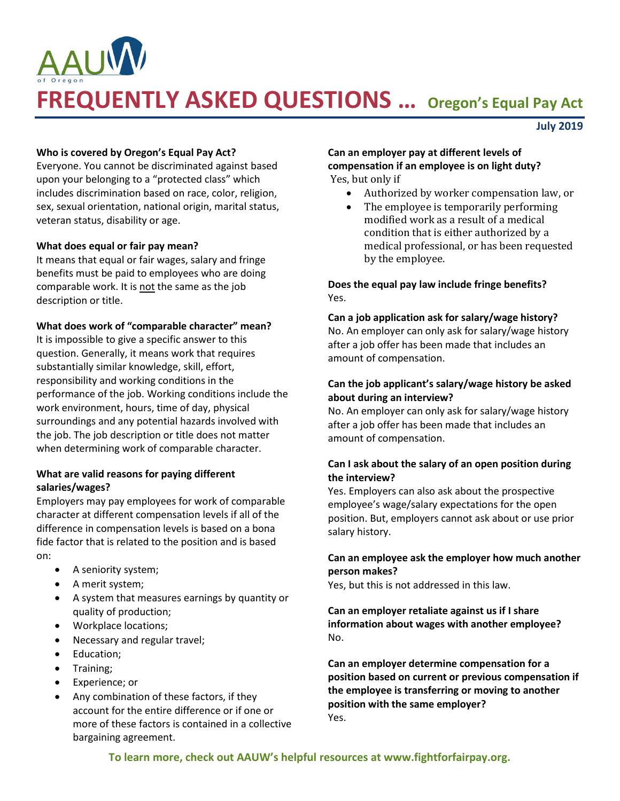

**July 2019**

#### **Who is covered by Oregon's Equal Pay Act?**

Everyone. You cannot be discriminated against based upon your belonging to a "protected class" which includes discrimination based on race, color, religion, sex, sexual orientation, national origin, marital status, veteran status, disability or age.

#### **What does equal or fair pay mean?**

It means that equal or fair wages, salary and fringe benefits must be paid to employees who are doing comparable work. It is not the same as the job description or title.

#### **What does work of "comparable character" mean?**

It is impossible to give a specific answer to this question. Generally, it means work that requires substantially similar knowledge, skill, effort, responsibility and working conditions in the performance of the job. Working conditions include the work environment, hours, time of day, physical surroundings and any potential hazards involved with the job. The job description or title does not matter when determining work of comparable character.

#### **What are valid reasons for paying different salaries/wages?**

Employers may pay employees for work of comparable character at different compensation levels if all of the difference in compensation levels is based on a bona fide factor that is related to the position and is based on:

- A seniority system;
- A merit system;
- A system that measures earnings by quantity or quality of production;
- Workplace locations;
- Necessary and regular travel;
- Education;
- Training;
- Experience; or
- Any combination of these factors, if they account for the entire difference or if one or more of these factors is contained in a collective bargaining agreement.

#### **Can an employer pay at different levels of compensation if an employee is on light duty?** Yes, but only if

- Authorized by worker compensation law, or
- The employee is temporarily performing modified work as a result of a medical condition that is either authorized by a medical professional, or has been requested by the employee.

## **Does the equal pay law include fringe benefits?** Yes.

# **Can a job application ask for salary/wage history?**

No. An employer can only ask for salary/wage history after a job offer has been made that includes an amount of compensation.

## **Can the job applicant's salary/wage history be asked about during an interview?**

No. An employer can only ask for salary/wage history after a job offer has been made that includes an amount of compensation.

## **Can I ask about the salary of an open position during the interview?**

Yes. Employers can also ask about the prospective employee's wage/salary expectations for the open position. But, employers cannot ask about or use prior salary history.

## **Can an employee ask the employer how much another person makes?**

Yes, but this is not addressed in this law.

**Can an employer retaliate against us if I share information about wages with another employee?** No.

**Can an employer determine compensation for a position based on current or previous compensation if the employee is transferring or moving to another position with the same employer?** Yes.